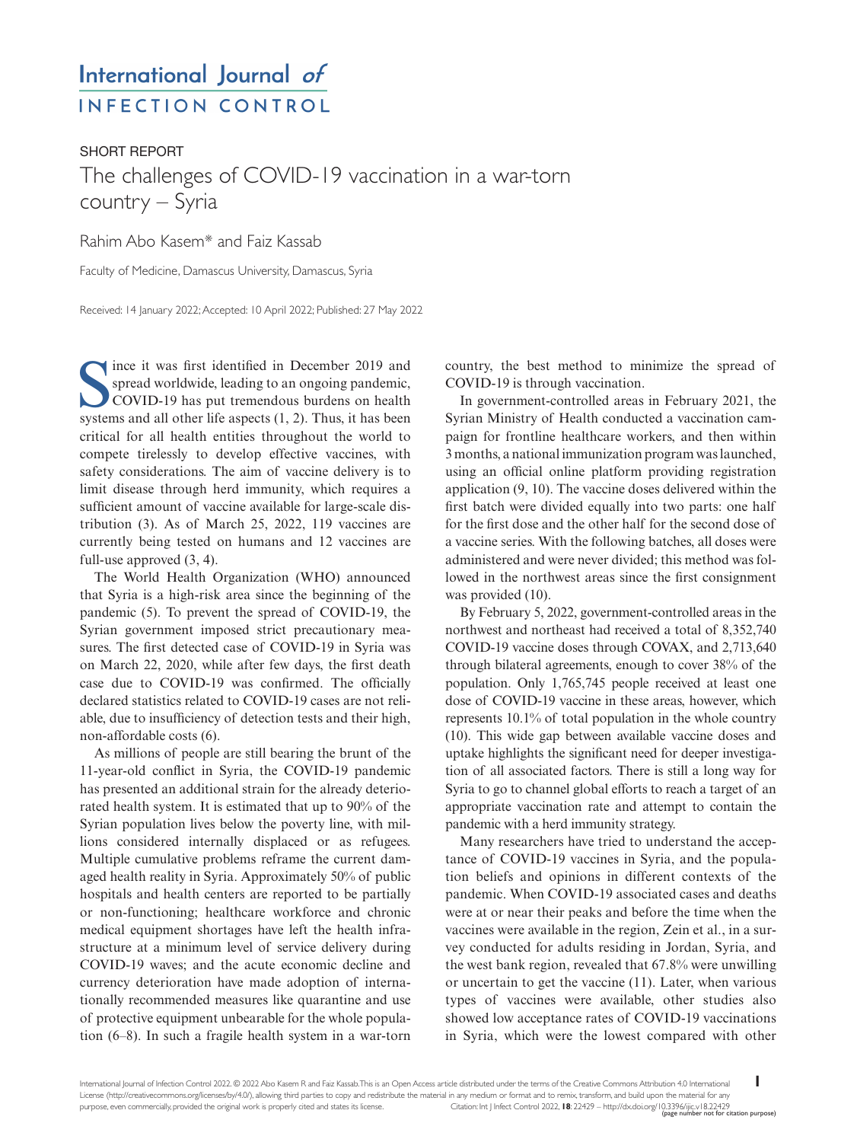# International Journal of **INFECTION CONTROL**

## SHORT REPORT The challenges of COVID-19 vaccination in a war-torn country – Syria

### Rahim Abo Kasem\* and Faiz Kassab

Faculty of Medicine, Damascus University, Damascus, Syria

Received: 14 January 2022; Accepted: 10 April 2022; Published: 27 May 2022

Since it was first identified in December 2019 and spread worldwide, leading to an ongoing pandemic, COVID-19 has put tremendous burdens on health systems and all other life aspects (1, 2). Thus, it has been ince it was first identified in December 2019 and spread worldwide, leading to an ongoing pandemic, COVID-19 has put tremendous burdens on health critical for all health entities throughout the world to compete tirelessly to develop effective vaccines, with safety considerations. The aim of vaccine delivery is to limit disease through herd immunity, which requires a sufficient amount of vaccine available for large-scale distribution (3). As of March 25, 2022, 119 vaccines are currently being tested on humans and 12 vaccines are full-use approved (3, 4).

The World Health Organization (WHO) announced that Syria is a high-risk area since the beginning of the pandemic (5). To prevent the spread of COVID-19, the Syrian government imposed strict precautionary measures. The first detected case of COVID-19 in Syria was on March 22, 2020, while after few days, the first death case due to COVID-19 was confirmed. The officially declared statistics related to COVID-19 cases are not reliable, due to insufficiency of detection tests and their high, non-affordable costs (6).

As millions of people are still bearing the brunt of the 11-year-old conflict in Syria, the COVID-19 pandemic has presented an additional strain for the already deteriorated health system. It is estimated that up to 90% of the Syrian population lives below the poverty line, with millions considered internally displaced or as refugees. Multiple cumulative problems reframe the current damaged health reality in Syria. Approximately 50% of public hospitals and health centers are reported to be partially or non-functioning; healthcare workforce and chronic medical equipment shortages have left the health infrastructure at a minimum level of service delivery during COVID-19 waves; and the acute economic decline and currency deterioration have made adoption of internationally recommended measures like quarantine and use of protective equipment unbearable for the whole population (6–8). In such a fragile health system in a war-torn

country, the best method to minimize the spread of COVID-19 is through vaccination.

In government-controlled areas in February 2021, the Syrian Ministry of Health conducted a vaccination campaign for frontline healthcare workers, and then within 3 months, a national immunization program was launched, using an official online platform providing registration application (9, 10). The vaccine doses delivered within the first batch were divided equally into two parts: one half for the first dose and the other half for the second dose of a vaccine series. With the following batches, all doses were administered and were never divided; this method was followed in the northwest areas since the first consignment was provided (10).

By February 5, 2022, government-controlled areas in the northwest and northeast had received a total of 8,352,740 COVID-19 vaccine doses through COVAX, and 2,713,640 through bilateral agreements, enough to cover 38% of the population. Only 1,765,745 people received at least one dose of COVID-19 vaccine in these areas, however, which represents 10.1% of total population in the whole country (10). This wide gap between available vaccine doses and uptake highlights the significant need for deeper investigation of all associated factors. There is still a long way for Syria to go to channel global efforts to reach a target of an appropriate vaccination rate and attempt to contain the pandemic with a herd immunity strategy.

Many researchers have tried to understand the acceptance of COVID-19 vaccines in Syria, and the population beliefs and opinions in different contexts of the pandemic. When COVID-19 associated cases and deaths were at or near their peaks and before the time when the vaccines were available in the region, Zein et al., in a survey conducted for adults residing in Jordan, Syria, and the west bank region, revealed that 67.8% were unwilling or uncertain to get the vaccine (11). Later, when various types of vaccines were available, other studies also showed low acceptance rates of COVID-19 vaccinations in Syria, which were the lowest compared with other